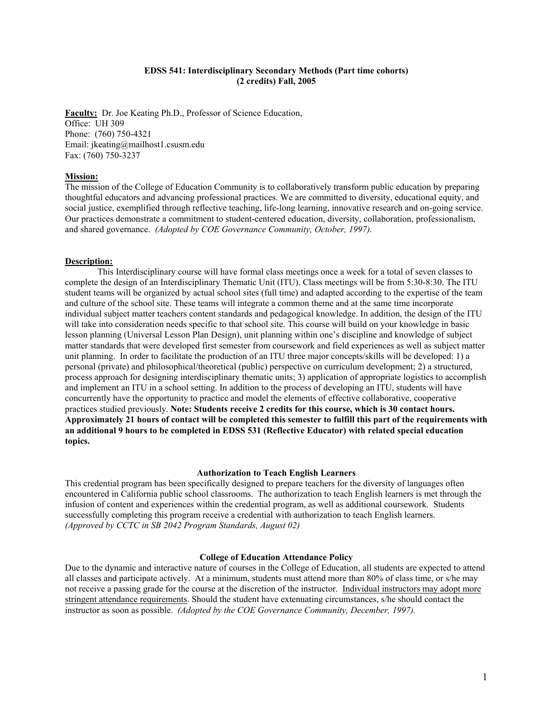#### **EDSS 541: Interdisciplinary Secondary Methods (Part time cohorts) (2 credits) Fall, 2005**

**Faculty:** Dr. Joe Keating Ph.D., Professor of Science Education, Office: UH 309 Phone: (760) 750-4321 Email: jkeating@mailhost1.csusm.edu Fax: (760) 750-3237

#### **Mission:**

The mission of the College of Education Community is to collaboratively transform public education by preparing thoughtful educators and advancing professional practices. We are committed to diversity, educational equity, and social justice, exemplified through reflective teaching, life-long learning, innovative research and on-going service. Our practices demonstrate a commitment to student-centered education, diversity, collaboration, professionalism, and shared governance. *(Adopted by COE Governance Community, October, 1997).* 

#### **Description:**

 This Interdisciplinary course will have formal class meetings once a week for a total of seven classes to complete the design of an Interdisciplinary Thematic Unit (ITU). Class meetings will be from 5:30-8:30. The ITU student teams will be organized by actual school sites (full time) and adapted according to the expertise of the team and culture of the school site. These teams will integrate a common theme and at the same time incorporate individual subject matter teachers content standards and pedagogical knowledge. In addition, the design of the ITU will take into consideration needs specific to that school site. This course will build on your knowledge in basic lesson planning (Universal Lesson Plan Design), unit planning within one's discipline and knowledge of subject matter standards that were developed first semester from coursework and field experiences as well as subject matter unit planning. In order to facilitate the production of an ITU three major concepts/skills will be developed: 1) a personal (private) and philosophical/theoretical (public) perspective on curriculum development; 2) a structured, process approach for designing interdisciplinary thematic units; 3) application of appropriate logistics to accomplish and implement an ITU in a school setting. In addition to the process of developing an ITU, students will have concurrently have the opportunity to practice and model the elements of effective collaborative, cooperative practices studied previously. **Note: Students receive 2 credits for this course, which is 30 contact hours. Approximately 21 hours of contact will be completed this semester to fulfill this part of the requirements with an additional 9 hours to be completed in EDSS 531 (Reflective Educator) with related special education topics.** 

#### **Authorization to Teach English Learners**

This credential program has been specifically designed to prepare teachers for the diversity of languages often encountered in California public school classrooms. The authorization to teach English learners is met through the infusion of content and experiences within the credential program, as well as additional coursework. Students successfully completing this program receive a credential with authorization to teach English learners. *(Approved by CCTC in SB 2042 Program Standards, August 02)*

#### **College of Education Attendance Policy**

Due to the dynamic and interactive nature of courses in the College of Education, all students are expected to attend all classes and participate actively. At a minimum, students must attend more than 80% of class time, or s/he may not receive a passing grade for the course at the discretion of the instructor. Individual instructors may adopt more stringent attendance requirements. Should the student have extenuating circumstances, s/he should contact the instructor as soon as possible. *(Adopted by the COE Governance Community, December, 1997).*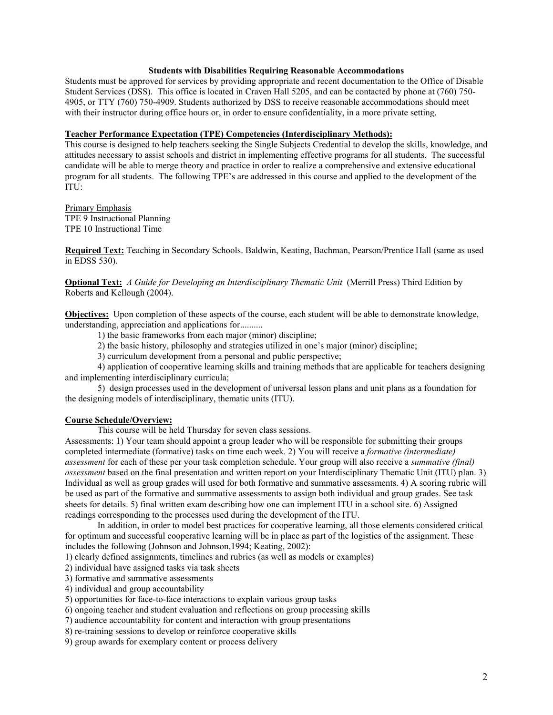#### **Students with Disabilities Requiring Reasonable Accommodations**

Students must be approved for services by providing appropriate and recent documentation to the Office of Disable Student Services (DSS). This office is located in Craven Hall 5205, and can be contacted by phone at (760) 750- 4905, or TTY (760) 750-4909. Students authorized by DSS to receive reasonable accommodations should meet with their instructor during office hours or, in order to ensure confidentiality, in a more private setting.

#### **Teacher Performance Expectation (TPE) Competencies (Interdisciplinary Methods):**

This course is designed to help teachers seeking the Single Subjects Credential to develop the skills, knowledge, and attitudes necessary to assist schools and district in implementing effective programs for all students. The successful candidate will be able to merge theory and practice in order to realize a comprehensive and extensive educational program for all students. The following TPE's are addressed in this course and applied to the development of the ITU:

Primary Emphasis TPE 9 Instructional Planning TPE 10 Instructional Time

**Required Text:** Teaching in Secondary Schools. Baldwin, Keating, Bachman, Pearson/Prentice Hall (same as used in EDSS 530).

**Optional Text:** *A Guide for Developing an Interdisciplinary Thematic Unit* (Merrill Press) Third Edition by Roberts and Kellough (2004).

**Objectives:** Upon completion of these aspects of the course, each student will be able to demonstrate knowledge, understanding, appreciation and applications for..........

1) the basic frameworks from each major (minor) discipline;

2) the basic history, philosophy and strategies utilized in one's major (minor) discipline;

3) curriculum development from a personal and public perspective;

 4) application of cooperative learning skills and training methods that are applicable for teachers designing and implementing interdisciplinary curricula;

 5) design processes used in the development of universal lesson plans and unit plans as a foundation for the designing models of interdisciplinary, thematic units (ITU).

#### **Course Schedule/Overview:**

This course will be held Thursday for seven class sessions.

Assessments: 1) Your team should appoint a group leader who will be responsible for submitting their groups completed intermediate (formative) tasks on time each week. 2) You will receive a *formative (intermediate) assessment* for each of these per your task completion schedule. Your group will also receive a *summative (final) assessment* based on the final presentation and written report on your Interdisciplinary Thematic Unit (ITU) plan. 3) Individual as well as group grades will used for both formative and summative assessments. 4) A scoring rubric will be used as part of the formative and summative assessments to assign both individual and group grades. See task sheets for details. 5) final written exam describing how one can implement ITU in a school site. 6) Assigned readings corresponding to the processes used during the development of the ITU.

In addition, in order to model best practices for cooperative learning, all those elements considered critical for optimum and successful cooperative learning will be in place as part of the logistics of the assignment. These includes the following (Johnson and Johnson,1994; Keating, 2002):

1) clearly defined assignments, timelines and rubrics (as well as models or examples)

2) individual have assigned tasks via task sheets

3) formative and summative assessments

4) individual and group accountability

5) opportunities for face-to-face interactions to explain various group tasks

6) ongoing teacher and student evaluation and reflections on group processing skills

7) audience accountability for content and interaction with group presentations

8) re-training sessions to develop or reinforce cooperative skills

9) group awards for exemplary content or process delivery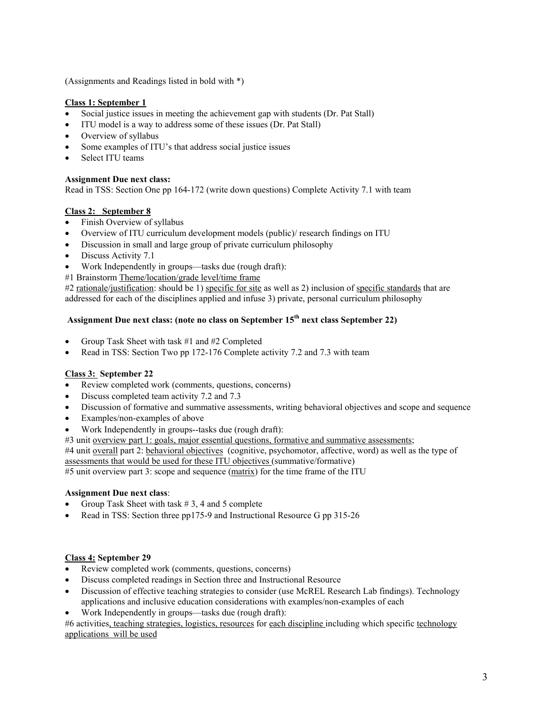(Assignments and Readings listed in bold with \*)

# **Class 1: September 1**

- Social justice issues in meeting the achievement gap with students (Dr. Pat Stall)
- ITU model is a way to address some of these issues (Dr. Pat Stall)
- Overview of syllabus
- Some examples of ITU's that address social justice issues
- Select ITU teams

# **Assignment Due next class:**

Read in TSS: Section One pp 164-172 (write down questions) Complete Activity 7.1 with team

# **Class 2: September 8**

- Finish Overview of syllabus
- Overview of ITU curriculum development models (public)/ research findings on ITU
- Discussion in small and large group of private curriculum philosophy
- Discuss Activity 7.1
- Work Independently in groups—tasks due (rough draft):
- #1 Brainstorm Theme/location/grade level/time frame

#2 rationale/justification: should be 1) specific for site as well as 2) inclusion of specific standards that are addressed for each of the disciplines applied and infuse 3) private, personal curriculum philosophy

# **Assignment Due next class: (note no class on September 15th next class September 22)**

- Group Task Sheet with task #1 and #2 Completed
- Read in TSS: Section Two pp 172-176 Complete activity 7.2 and 7.3 with team

## **Class 3: September 22**

- Review completed work (comments, questions, concerns)
- Discuss completed team activity 7.2 and 7.3
- Discussion of formative and summative assessments, writing behavioral objectives and scope and sequence
- Examples/non-examples of above
- Work Independently in groups--tasks due (rough draft):
- #3 unit overview part 1: goals, major essential questions, formative and summative assessments;

#4 unit <u>overall</u> part 2: behavioral objectives (cognitive, psychomotor, affective, word) as well as the type of assessments that would be used for these ITU objectives (summative/formative)

#5 unit overview part 3: scope and sequence (matrix) for the time frame of the ITU

## **Assignment Due next class**:

- Group Task Sheet with task  $# 3, 4$  and 5 complete
- Read in TSS: Section three pp175-9 and Instructional Resource G pp 315-26

## **Class 4: September 29**

- Review completed work (comments, questions, concerns)
- Discuss completed readings in Section three and Instructional Resource
- Discussion of effective teaching strategies to consider (use McREL Research Lab findings). Technology applications and inclusive education considerations with examples/non-examples of each
- Work Independently in groups—tasks due (rough draft):

#6 activities, teaching strategies, logistics, resources for each discipline including which specific technology applications will be used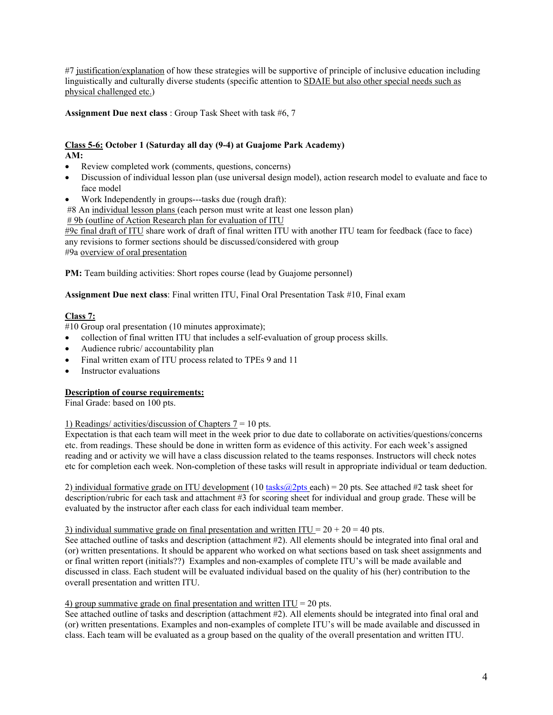#7 justification/explanation of how these strategies will be supportive of principle of inclusive education including linguistically and culturally diverse students (specific attention to SDAIE but also other special needs such as physical challenged etc.)

**Assignment Due next class** : Group Task Sheet with task #6, 7

#### **Class 5-6: October 1 (Saturday all day (9-4) at Guajome Park Academy) AM:**

- Review completed work (comments, questions, concerns)
- Discussion of individual lesson plan (use universal design model), action research model to evaluate and face to face model
- Work Independently in groups---tasks due (rough draft):

#8 An individual lesson plans (each person must write at least one lesson plan)

# 9b (outline of Action Research plan for evaluation of ITU

#9c final draft of ITU share work of draft of final written ITU with another ITU team for feedback (face to face) any revisions to former sections should be discussed/considered with group #9a overview of oral presentation

**PM:** Team building activities: Short ropes course (lead by Guajome personnel)

**Assignment Due next class**: Final written ITU, Final Oral Presentation Task #10, Final exam

# **Class 7:**

#10 Group oral presentation (10 minutes approximate);

- collection of final written ITU that includes a self-evaluation of group process skills.
- Audience rubric/ accountability plan
- Final written exam of ITU process related to TPEs 9 and 11
- Instructor evaluations

# **Description of course requirements:**

Final Grade: based on 100 pts.

# 1) Readings/ activities/discussion of Chapters  $7 = 10$  pts.

Expectation is that each team will meet in the week prior to due date to collaborate on activities/questions/concerns etc. from readings. These should be done in written form as evidence of this activity. For each week's assigned reading and or activity we will have a class discussion related to the teams responses. Instructors will check notes etc for completion each week. Non-completion of these tasks will result in appropriate individual or team deduction.

2) individual formative grade on ITU development (10 tasks $\omega$ 2pts each) = 20 pts. See attached #2 task sheet for description/rubric for each task and attachment #3 for scoring sheet for individual and group grade. These will be evaluated by the instructor after each class for each individual team member.

## 3) individual summative grade on final presentation and written ITU =  $20 + 20 = 40$  pts.

See attached outline of tasks and description (attachment #2). All elements should be integrated into final oral and (or) written presentations. It should be apparent who worked on what sections based on task sheet assignments and or final written report (initials??) Examples and non-examples of complete ITU's will be made available and discussed in class. Each student will be evaluated individual based on the quality of his (her) contribution to the overall presentation and written ITU.

# 4) group summative grade on final presentation and written  $ITU = 20$  pts.

See attached outline of tasks and description (attachment #2). All elements should be integrated into final oral and (or) written presentations. Examples and non-examples of complete ITU's will be made available and discussed in class. Each team will be evaluated as a group based on the quality of the overall presentation and written ITU.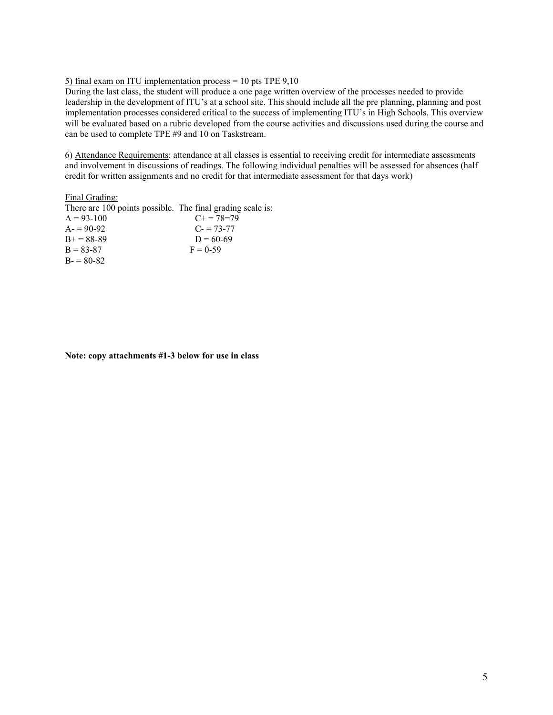#### 5) final exam on ITU implementation process =  $10$  pts TPE  $9,10$

During the last class, the student will produce a one page written overview of the processes needed to provide leadership in the development of ITU's at a school site. This should include all the pre planning, planning and post implementation processes considered critical to the success of implementing ITU's in High Schools. This overview will be evaluated based on a rubric developed from the course activities and discussions used during the course and can be used to complete TPE #9 and 10 on Taskstream.

6) Attendance Requirements: attendance at all classes is essential to receiving credit for intermediate assessments and involvement in discussions of readings. The following individual penalties will be assessed for absences (half credit for written assignments and no credit for that intermediate assessment for that days work)

#### Final Grading:

| There are 100 points possible. The final grading scale is: |                   |
|------------------------------------------------------------|-------------------|
| $A = 93 - 100$                                             | $C_{+} = 78 = 79$ |
| $A = 90-92$                                                | $C = 73-77$       |
| $B + = 88-89$                                              | $D = 60-69$       |
| $B = 83-87$                                                | $F = 0.59$        |
| $B = 80-82$                                                |                   |

**Note: copy attachments #1-3 below for use in class**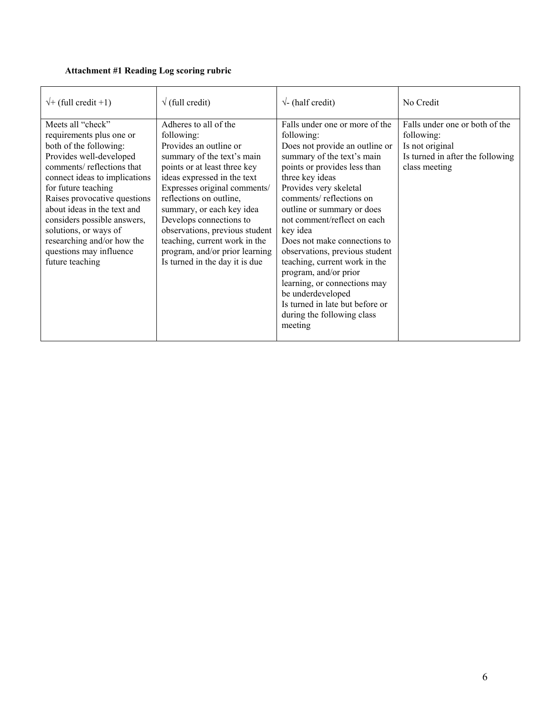# **Attachment #1 Reading Log scoring rubric**

| $\sqrt{+}$ (full credit +1)                                                                                                                                                                                                                                                                                                                                                                | $\sqrt{\text{(full credit)}}$                                                                                                                                                                                                                                                                                                                                                                                        | $\sqrt{\ }$ - (half credit)                                                                                                                                                                                                                                                                                                                                                                                                                                                                                                                                | No Credit                                                                                                            |
|--------------------------------------------------------------------------------------------------------------------------------------------------------------------------------------------------------------------------------------------------------------------------------------------------------------------------------------------------------------------------------------------|----------------------------------------------------------------------------------------------------------------------------------------------------------------------------------------------------------------------------------------------------------------------------------------------------------------------------------------------------------------------------------------------------------------------|------------------------------------------------------------------------------------------------------------------------------------------------------------------------------------------------------------------------------------------------------------------------------------------------------------------------------------------------------------------------------------------------------------------------------------------------------------------------------------------------------------------------------------------------------------|----------------------------------------------------------------------------------------------------------------------|
| Meets all "check"<br>requirements plus one or<br>both of the following:<br>Provides well-developed<br>comments/reflections that<br>connect ideas to implications<br>for future teaching<br>Raises provocative questions<br>about ideas in the text and<br>considers possible answers,<br>solutions, or ways of<br>researching and/or how the<br>questions may influence<br>future teaching | Adheres to all of the<br>following:<br>Provides an outline or<br>summary of the text's main<br>points or at least three key<br>ideas expressed in the text<br>Expresses original comments/<br>reflections on outline,<br>summary, or each key idea<br>Develops connections to<br>observations, previous student<br>teaching, current work in the<br>program, and/or prior learning<br>Is turned in the day it is due | Falls under one or more of the<br>following:<br>Does not provide an outline or<br>summary of the text's main<br>points or provides less than<br>three key ideas<br>Provides very skeletal<br>comments/reflections on<br>outline or summary or does<br>not comment/reflect on each<br>key idea<br>Does not make connections to<br>observations, previous student<br>teaching, current work in the<br>program, and/or prior<br>learning, or connections may<br>be underdeveloped<br>Is turned in late but before or<br>during the following class<br>meeting | Falls under one or both of the<br>following:<br>Is not original<br>Is turned in after the following<br>class meeting |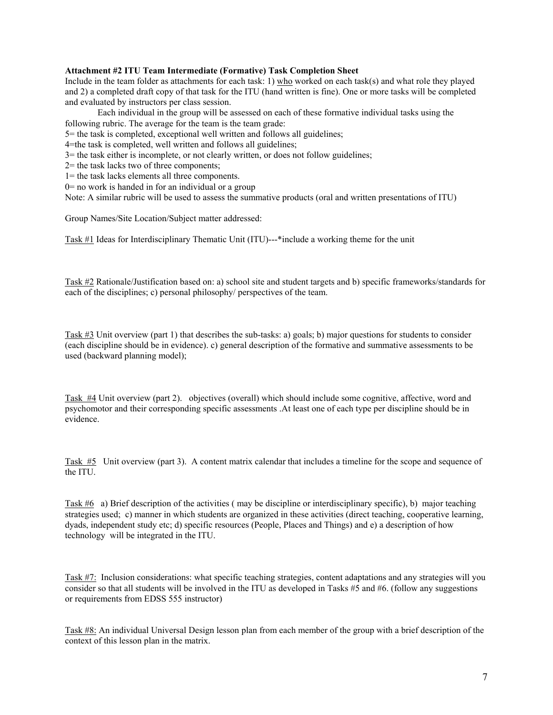# **Attachment #2 ITU Team Intermediate (Formative) Task Completion Sheet**

Include in the team folder as attachments for each task: 1) who worked on each task(s) and what role they played and 2) a completed draft copy of that task for the ITU (hand written is fine). One or more tasks will be completed and evaluated by instructors per class session.

 Each individual in the group will be assessed on each of these formative individual tasks using the following rubric. The average for the team is the team grade:

5= the task is completed, exceptional well written and follows all guidelines;

4=the task is completed, well written and follows all guidelines;

3= the task either is incomplete, or not clearly written, or does not follow guidelines;

2= the task lacks two of three components;

1= the task lacks elements all three components.

 $0$ = no work is handed in for an individual or a group

Note: A similar rubric will be used to assess the summative products (oral and written presentations of ITU)

Group Names/Site Location/Subject matter addressed:

Task #1 Ideas for Interdisciplinary Thematic Unit (ITU)---\*include a working theme for the unit

Task #2 Rationale/Justification based on: a) school site and student targets and b) specific frameworks/standards for each of the disciplines; c) personal philosophy/ perspectives of the team.

Task #3 Unit overview (part 1) that describes the sub-tasks: a) goals; b) major questions for students to consider (each discipline should be in evidence). c) general description of the formative and summative assessments to be used (backward planning model);

Task #4 Unit overview (part 2). objectives (overall) which should include some cognitive, affective, word and psychomotor and their corresponding specific assessments .At least one of each type per discipline should be in evidence.

Task #5 Unit overview (part 3). A content matrix calendar that includes a timeline for the scope and sequence of the ITU.

Task #6 a) Brief description of the activities ( may be discipline or interdisciplinary specific), b) major teaching strategies used; c) manner in which students are organized in these activities (direct teaching, cooperative learning, dyads, independent study etc; d) specific resources (People, Places and Things) and e) a description of how technology will be integrated in the ITU.

Task #7: Inclusion considerations: what specific teaching strategies, content adaptations and any strategies will you consider so that all students will be involved in the ITU as developed in Tasks #5 and #6. (follow any suggestions or requirements from EDSS 555 instructor)

Task #8: An individual Universal Design lesson plan from each member of the group with a brief description of the context of this lesson plan in the matrix.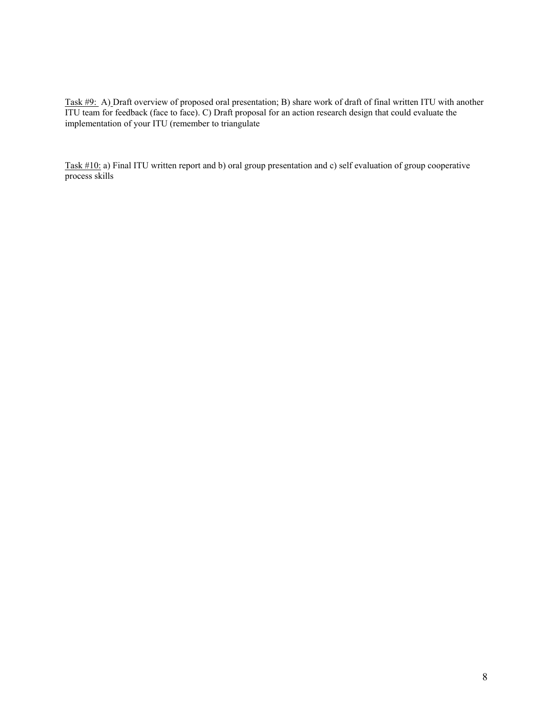Task #9: A) Draft overview of proposed oral presentation; B) share work of draft of final written ITU with another ITU team for feedback (face to face). C) Draft proposal for an action research design that could evaluate the implementation of your ITU (remember to triangulate

Task #10: a) Final ITU written report and b) oral group presentation and c) self evaluation of group cooperative process skills